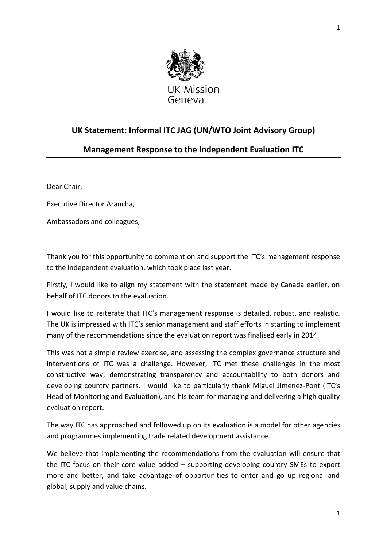

## **UK Statement: Informal ITC JAG (UN/WTO Joint Advisory Group)**

## **Management Response to the Independent Evaluation ITC**

Dear Chair,

Executive Director Arancha,

Ambassadors and colleagues,

Thank you for this opportunity to comment on and support the ITC's management response to the independent evaluation, which took place last year.

Firstly, I would like to align my statement with the statement made by Canada earlier, on behalf of ITC donors to the evaluation.

I would like to reiterate that ITC's management response is detailed, robust, and realistic. The UK is impressed with ITC's senior management and staff efforts in starting to implement many of the recommendations since the evaluation report was finalised early in 2014.

This was not a simple review exercise, and assessing the complex governance structure and interventions of ITC was a challenge. However, ITC met these challenges in the most constructive way; demonstrating transparency and accountability to both donors and developing country partners. I would like to particularly thank Miguel Jimenez-Pont (ITC's Head of Monitoring and Evaluation), and his team for managing and delivering a high quality evaluation report.

The way ITC has approached and followed up on its evaluation is a model for other agencies and programmes implementing trade related development assistance.

We believe that implementing the recommendations from the evaluation will ensure that the ITC focus on their core value added – supporting developing country SMEs to export more and better, and take advantage of opportunities to enter and go up regional and global, supply and value chains.